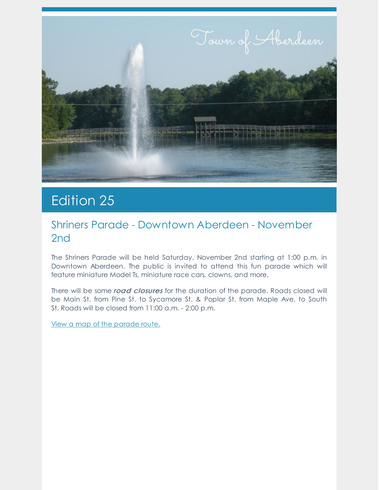

# Edition 25

### Shriners Parade - Downtown Aberdeen - November 2nd

The Shriners Parade will be held Saturday, November 2nd starting at 1:00 p.m. in Downtown Aberdeen. The public is invited to attend this fun parade which will feature miniature Model Ts, miniature race cars, clowns, and more.

There will be some road closures for the duration of the parade. Roads closed will be Main St. from Pine St. to Sycamore St. & Poplar St. from Maple Ave. to South St. Roads will be closed from 11:00 a.m. - 2:00 p.m.

View a map of the [parade](https://www.townofaberdeen.net/newsview.aspx?nid=5950) route.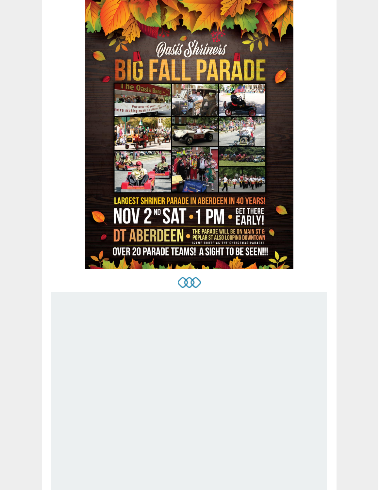

 $\infty$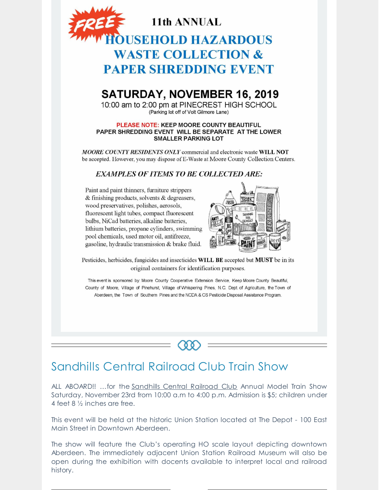

## **SATURDAY, NOVEMBER 16, 2019**

10:00 am to 2:00 pm at PINECREST HIGH SCHOOL (Parking lot off of Volt Gilmore Lane)

#### PLEASE NOTE: KEEP MOORE COUNTY BEAUTIFUL PAPER SHREDDING EVENT WILL BE SEPARATE AT THE LOWER **SMALLER PARKING LOT**

MOORE COUNTY RESIDENTS ONLY commercial and electronic waste WILL NOT be accepted. However, you may dispose of E-Waste at Moore County Collection Centers.

### **EXAMPLES OF ITEMS TO BE COLLECTED ARE:**

Paint and paint thinners, furniture strippers & finishing products, solvents & degreasers, wood preservatives, polishes, aerosols, fluorescent light tubes, compact fluorescent bulbs, NiCad batteries, alkaline batteries, lithium batteries, propane cylinders, swimming pool chemicals, used motor oil, antifreeze, gasoline, hydraulic transmission & brake fluid.



Pesticides, herbicides, fungicides and insecticides WILL BE accepted but MUST be in its original containers for identification purposes.

This event is sponsored by: Moore County Cooperative Extension Service, Keep Moore County Beautiful, County of Moore, Village of Pinehurst, Village of Whispering Pines, N.C. Dept. of Agriculture, the Town of Aberdeen, the Town of Southern Pines and the NCDA & CS Pesticide Disposal Assistance Program.

### Sandhills Central Railroad Club Train Show

ALL ABOARD!! …for the [Sandhills](https://www.facebook.com/sandhillscentralrailroad/) Central Railroad Club Annual Model Train Show Saturday, November 23rd from 10:00 a.m to 4:00 p.m. Admission is \$5; children under 4 feet 8 ½ inches are free.

o o

This event will be held at the historic Union Station located at The Depot - 100 East Main Street in Downtown Aberdeen.

The show will feature the Club's operating HO scale layout depicting downtown Aberdeen. The immediately adjacent Union Station Railroad Museum will also be open during the exhibition with docents available to interpret local and railroad history.